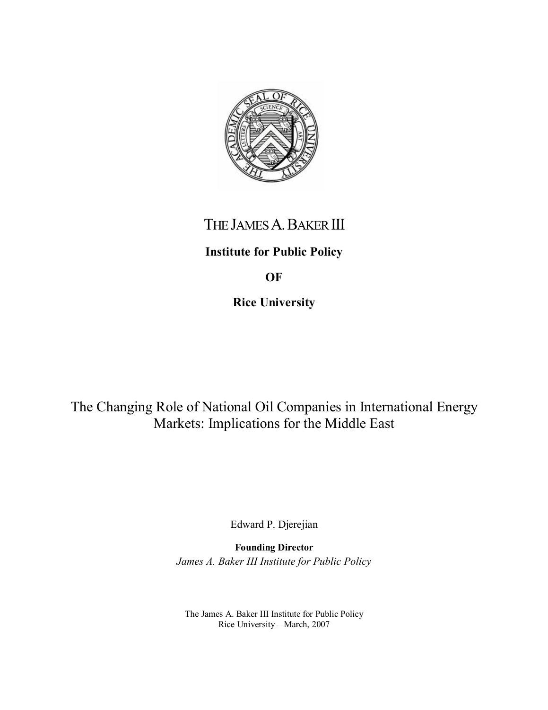

## THE JAMES A. BAKER III

## **Institute for Public Policy**

## **OF**

**Rice University**

The Changing Role of National Oil Companies in International Energy Markets: Implications for the Middle East

Edward P. Djerejian

**Founding Director** *James A. Baker III Institute for Public Policy*

The James A. Baker III Institute for Public Policy Rice University – March, 2007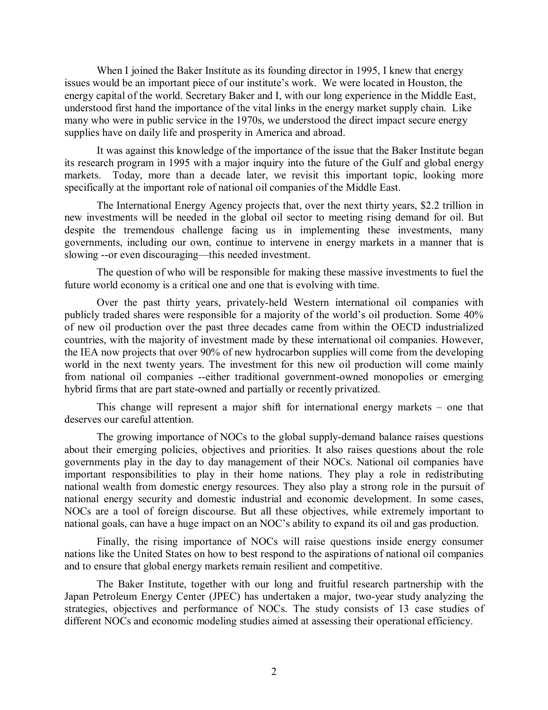When I joined the Baker Institute as its founding director in 1995, I knew that energy issues would be an important piece of our institute's work. We were located in Houston, the energy capital of the world. Secretary Baker and I, with our long experience in the Middle East, understood first hand the importance of the vital links in the energy market supply chain. Like many who were in public service in the 1970s, we understood the direct impact secure energy supplies have on daily life and prosperity in America and abroad.

It was against this knowledge of the importance of the issue that the Baker Institute began its research program in 1995 with a major inquiry into the future of the Gulf and global energy markets. Today, more than a decade later, we revisit this important topic, looking more specifically at the important role of national oil companies of the Middle East.

The International Energy Agency projects that, over the next thirty years, \$2.2 trillion in new investments will be needed in the global oil sector to meeting rising demand for oil. But despite the tremendous challenge facing us in implementing these investments, many governments, including our own, continue to intervene in energy markets in a manner that is slowing --or even discouraging—this needed investment.

The question of who will be responsible for making these massive investments to fuel the future world economy is a critical one and one that is evolving with time.

Over the past thirty years, privately-held Western international oil companies with publicly traded shares were responsible for a majority of the world's oil production. Some 40% of new oil production over the past three decades came from within the OECD industrialized countries, with the majority of investment made by these international oil companies. However, the IEA now projects that over 90% of new hydrocarbon supplies will come from the developing world in the next twenty years. The investment for this new oil production will come mainly from national oil companies --either traditional government-owned monopolies or emerging hybrid firms that are part state-owned and partially or recently privatized.

This change will represent a major shift for international energy markets – one that deserves our careful attention.

The growing importance of NOCs to the global supply-demand balance raises questions about their emerging policies, objectives and priorities. It also raises questions about the role governments play in the day to day management of their NOCs. National oil companies have important responsibilities to play in their home nations. They play a role in redistributing national wealth from domestic energy resources. They also play a strong role in the pursuit of national energy security and domestic industrial and economic development. In some cases, NOCs are a tool of foreign discourse. But all these objectives, while extremely important to national goals, can have a huge impact on an NOC's ability to expand its oil and gas production.

Finally, the rising importance of NOCs will raise questions inside energy consumer nations like the United States on how to best respond to the aspirations of national oil companies and to ensure that global energy markets remain resilient and competitive.

The Baker Institute, together with our long and fruitful research partnership with the Japan Petroleum Energy Center (JPEC) has undertaken a major, two-year study analyzing the strategies, objectives and performance of NOCs. The study consists of 13 case studies of different NOCs and economic modeling studies aimed at assessing their operational efficiency.